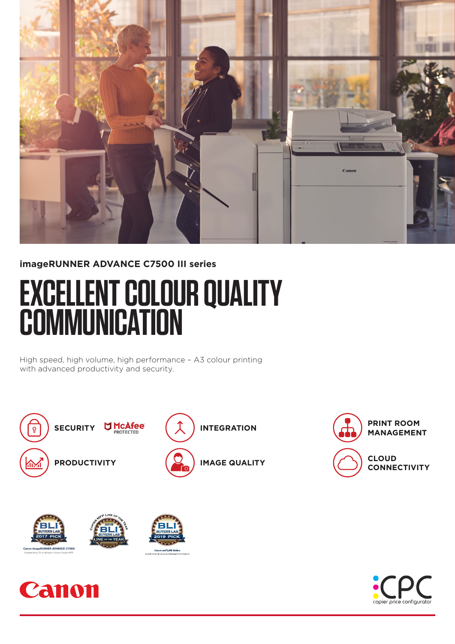

## **imageRUNNER ADVANCE C7500 III series**

# **EXCELLENT COLOUR QUALITY COMMUNICATION**

High speed, high volume, high performance – A3 colour printing with advanced productivity and security.







**CLOUD CONNECTIVITY**